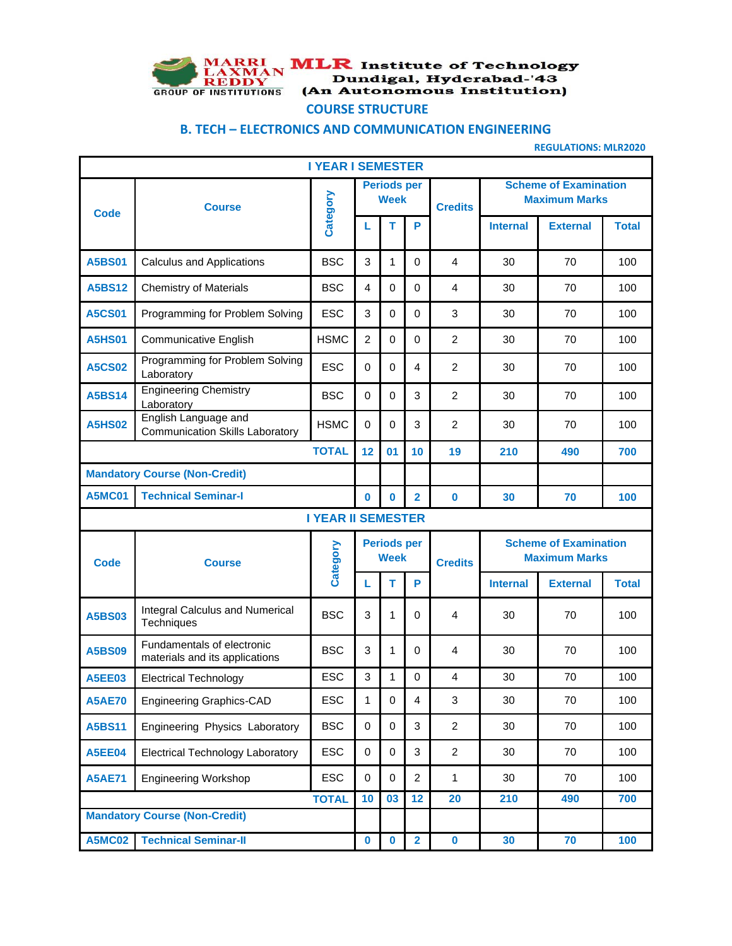

MARRI MLR Institute of Technology<br>
LAXMAN Dundigal, Hyderabad-'43<br>
GROUP OF INSTITUTIONS (An Autonomous Institution)

## **COURSE STRUCTURE**

## **B. TECH – ELECTRONICS AND COMMUNICATION ENGINEERING**

**REGULATIONS: MLR2020**

| <b>I YEAR I SEMESTER</b>                    |                                                                |                           |                |                                   |                         |                |                                                      |                                                      |              |
|---------------------------------------------|----------------------------------------------------------------|---------------------------|----------------|-----------------------------------|-------------------------|----------------|------------------------------------------------------|------------------------------------------------------|--------------|
| <b>Code</b>                                 | <b>Course</b>                                                  | Category                  |                | <b>Periods per</b><br><b>Week</b> |                         | <b>Credits</b> | <b>Scheme of Examination</b><br><b>Maximum Marks</b> |                                                      |              |
|                                             |                                                                |                           | L              | т                                 | P                       |                | <b>Internal</b>                                      | <b>External</b>                                      | <b>Total</b> |
| <b>A5BS01</b>                               | <b>Calculus and Applications</b>                               | <b>BSC</b>                | 3              | 1                                 | $\mathbf 0$             | $\overline{4}$ | 30                                                   | 70                                                   | 100          |
| <b>A5BS12</b>                               | <b>Chemistry of Materials</b>                                  | <b>BSC</b>                | 4              | $\mathbf 0$                       | $\mathbf 0$             | 4              | 30                                                   | 70                                                   | 100          |
| <b>A5CS01</b>                               | Programming for Problem Solving                                | ESC                       | 3              | $\mathbf 0$                       | $\mathbf 0$             | 3              | 30                                                   | 70                                                   | 100          |
| <b>A5HS01</b>                               | <b>Communicative English</b>                                   | <b>HSMC</b>               | $\overline{c}$ | $\mathbf 0$                       | $\mathbf 0$             | $\overline{c}$ | 30                                                   | 70                                                   | 100          |
| <b>A5CS02</b>                               | Programming for Problem Solving<br>Laboratory                  | <b>ESC</b>                | $\mathbf 0$    | $\mathbf 0$                       | $\overline{4}$          | $\overline{c}$ | 30                                                   | 70                                                   | 100          |
| <b>A5BS14</b>                               | <b>Engineering Chemistry</b><br>Laboratory                     | <b>BSC</b>                | $\mathbf 0$    | $\mathbf 0$                       | 3                       | $\overline{c}$ | 30                                                   | 70                                                   | 100          |
| <b>A5HS02</b>                               | English Language and<br><b>Communication Skills Laboratory</b> | <b>HSMC</b>               | 0              | $\mathbf 0$                       | 3                       | $\overline{c}$ | 30                                                   | 70                                                   | 100          |
| <b>TOTAL</b>                                |                                                                |                           | 12             | 01                                | 10                      | 19             | 210                                                  | 490                                                  | 700          |
| <b>Mandatory Course (Non-Credit)</b>        |                                                                |                           |                |                                   |                         |                |                                                      |                                                      |              |
| <b>Technical Seminar-I</b><br><b>A5MC01</b> |                                                                |                           | $\bf{0}$       | $\bf{0}$                          | $\overline{2}$          | $\bf{0}$       | 30                                                   | 70                                                   | 100          |
|                                             |                                                                | <b>I YEAR II SEMESTER</b> |                |                                   |                         |                |                                                      |                                                      |              |
| <b>Code</b>                                 | <b>Course</b>                                                  | Category                  |                | <b>Periods per</b><br><b>Week</b> |                         | <b>Credits</b> |                                                      | <b>Scheme of Examination</b><br><b>Maximum Marks</b> |              |
|                                             |                                                                |                           | L              | т                                 | P                       |                | <b>Internal</b>                                      | <b>External</b>                                      | <b>Total</b> |
| <b>A5BS03</b>                               | <b>Integral Calculus and Numerical</b><br>Techniques           | <b>BSC</b>                | 3              | 1                                 | 0                       | $\overline{4}$ | 30                                                   | 70                                                   | 100          |
| <b>A5BS09</b>                               | Fundamentals of electronic<br>materials and its applications   | <b>BSC</b>                | 3              | 1                                 | 0                       | 4              | 30                                                   | 70                                                   | 100          |
| <b>A5EE03</b>                               | <b>Electrical Technology</b>                                   | <b>ESC</b>                | 3              | 1                                 | $\mathbf 0$             | 4              | 30                                                   | 70                                                   | 100          |
| <b>A5AE70</b>                               | <b>Engineering Graphics-CAD</b>                                | <b>ESC</b>                | $\mathbf{1}$   | 0                                 | 4                       | 3              | 30                                                   | 70                                                   | 100          |
| <b>A5BS11</b>                               | Engineering Physics Laboratory                                 | <b>BSC</b>                | 0              | $\mathbf 0$                       | $\mathbf{3}$            | $\overline{2}$ | 30                                                   | 70                                                   | 100          |
| <b>A5EE04</b>                               | <b>Electrical Technology Laboratory</b>                        | <b>ESC</b>                | 0              | $\mathbf 0$                       | 3                       | $\overline{2}$ | 30                                                   | 70                                                   | 100          |
| <b>A5AE71</b>                               | <b>Engineering Workshop</b>                                    | <b>ESC</b>                | $\mathbf 0$    | $\mathbf 0$                       | $\overline{2}$          | 1              | 30                                                   | 70                                                   | 100          |
|                                             |                                                                | <b>TOTAL</b>              | 10             | 03                                | 12                      | 20             | 210                                                  | 490                                                  | 700          |
| <b>Mandatory Course (Non-Credit)</b>        |                                                                |                           |                |                                   |                         |                |                                                      |                                                      |              |
| <b>A5MC02</b>                               | <b>Technical Seminar-II</b>                                    |                           | $\bf{0}$       | $\mathbf 0$                       | $\overline{\mathbf{2}}$ | $\mathbf 0$    | 30                                                   | 70                                                   | 100          |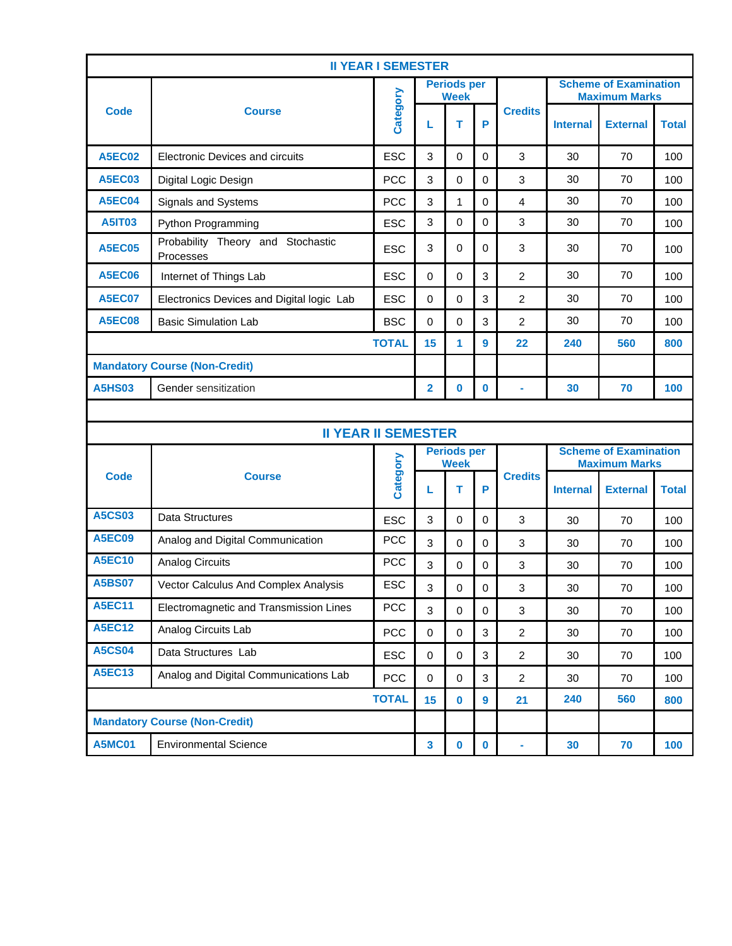| <b>II YEAR I SEMESTER</b>            |                                                |              |                                   |                                   |              |                |                                                      |                 |              |
|--------------------------------------|------------------------------------------------|--------------|-----------------------------------|-----------------------------------|--------------|----------------|------------------------------------------------------|-----------------|--------------|
|                                      |                                                |              |                                   | <b>Periods per</b><br><b>Week</b> |              |                | <b>Scheme of Examination</b><br><b>Maximum Marks</b> |                 |              |
| Code                                 | <b>Course</b>                                  | Category     | L                                 | т                                 | P            | <b>Credits</b> | <b>Internal</b>                                      | <b>External</b> | Total        |
| <b>A5EC02</b>                        | <b>Electronic Devices and circuits</b>         | <b>ESC</b>   | 3                                 | $\mathbf 0$                       | $\mathbf 0$  | 3              | 30                                                   | 70              | 100          |
| <b>A5EC03</b>                        | Digital Logic Design                           | <b>PCC</b>   | 3                                 | $\Omega$                          | $\Omega$     | 3              | 30                                                   | 70              | 100          |
| <b>A5EC04</b>                        | Signals and Systems                            | <b>PCC</b>   | 3                                 | 1                                 | $\mathbf 0$  | 4              | 30                                                   | 70              | 100          |
| <b>A5IT03</b>                        | Python Programming                             | <b>ESC</b>   | 3                                 | $\Omega$                          | $\Omega$     | 3              | 30                                                   | 70              | 100          |
| <b>A5EC05</b>                        | Probability Theory and Stochastic<br>Processes | <b>ESC</b>   | 3                                 | $\Omega$                          | $\Omega$     | 3              | 30                                                   | 70              | 100          |
| <b>A5EC06</b>                        | Internet of Things Lab                         | <b>ESC</b>   | 0                                 | 0                                 | 3            | $\overline{c}$ | 30                                                   | 70              | 100          |
| <b>A5EC07</b>                        | Electronics Devices and Digital logic Lab      | <b>ESC</b>   | 0                                 | 0                                 | 3            | $\overline{2}$ | 30                                                   | 70              | 100          |
| <b>A5EC08</b>                        | <b>Basic Simulation Lab</b>                    | <b>BSC</b>   | $\mathbf 0$                       | $\mathbf 0$                       | 3            | $\overline{c}$ | 30                                                   | 70              | 100          |
| <b>TOTAL</b>                         |                                                |              |                                   | 1                                 | $\mathbf{9}$ | 22             | 240                                                  | 560             | 800          |
| <b>Mandatory Course (Non-Credit)</b> |                                                |              |                                   |                                   |              |                |                                                      |                 |              |
| <b>A5HS03</b>                        | Gender sensitization                           |              | $\overline{2}$                    | $\bf{0}$                          | $\bf{0}$     | ä,             | 30                                                   | 70              | 100          |
|                                      |                                                |              |                                   |                                   |              |                |                                                      |                 |              |
|                                      | <b>II YEAR II SEMESTER</b>                     |              |                                   |                                   |              |                |                                                      |                 |              |
|                                      |                                                |              | <b>Periods per</b><br><b>Week</b> |                                   |              |                | <b>Scheme of Examination</b><br><b>Maximum Marks</b> |                 |              |
| <b>Code</b>                          | <b>Course</b>                                  | Category     | L                                 | т                                 | P            | <b>Credits</b> | <b>Internal</b>                                      | <b>External</b> | <b>Total</b> |
| <b>A5CS03</b>                        | Data Structures                                | <b>ESC</b>   | 3                                 | 0                                 | $\Omega$     | 3              | 30                                                   | 70              | 100          |
| <b>A5EC09</b>                        | Analog and Digital Communication               | <b>PCC</b>   | 3                                 | 0                                 | $\Omega$     | 3              | 30                                                   | 70              | 100          |
| <b>A5EC10</b>                        | <b>Analog Circuits</b>                         | <b>PCC</b>   | 3                                 | 0                                 | 0            | 3              | 30                                                   | 70              | 100          |
| <b>A5BS07</b>                        | Vector Calculus And Complex Analysis           | ESC          | 3                                 | 0                                 | $\pmb{0}$    | 3              | 30                                                   | 70              | 100          |
| <b>A5EC11</b>                        | Electromagnetic and Transmission Lines         | <b>PCC</b>   | 3                                 | $\Omega$                          | $\mathbf 0$  | 3              | 30                                                   | 70              | 100          |
| <b>A5EC12</b>                        | Analog Circuits Lab                            | <b>PCC</b>   | $\pmb{0}$                         | $\Omega$                          | 3            | $\overline{c}$ | 30                                                   | 70              | 100          |
| <b>A5CS04</b>                        | Data Structures Lab                            | <b>ESC</b>   | $\pmb{0}$                         | $\mathsf 0$                       | 3            | $\overline{a}$ | 30                                                   | 70              | 100          |
| <b>A5EC13</b>                        | Analog and Digital Communications Lab          | <b>PCC</b>   | $\pmb{0}$                         | $\mathbf 0$                       | 3            | $\overline{2}$ | 30                                                   | 70              | 100          |
|                                      |                                                | <b>TOTAL</b> | 15                                | $\bf{0}$                          | $\mathbf{9}$ | 21             | 240                                                  | 560             | 800          |
|                                      | <b>Mandatory Course (Non-Credit)</b>           |              |                                   |                                   |              |                |                                                      |                 |              |
| <b>A5MC01</b>                        | <b>Environmental Science</b>                   |              | $\overline{\mathbf{3}}$           | $\mathbf 0$                       | $\pmb{0}$    | ۰              | 30                                                   | 70              | 100          |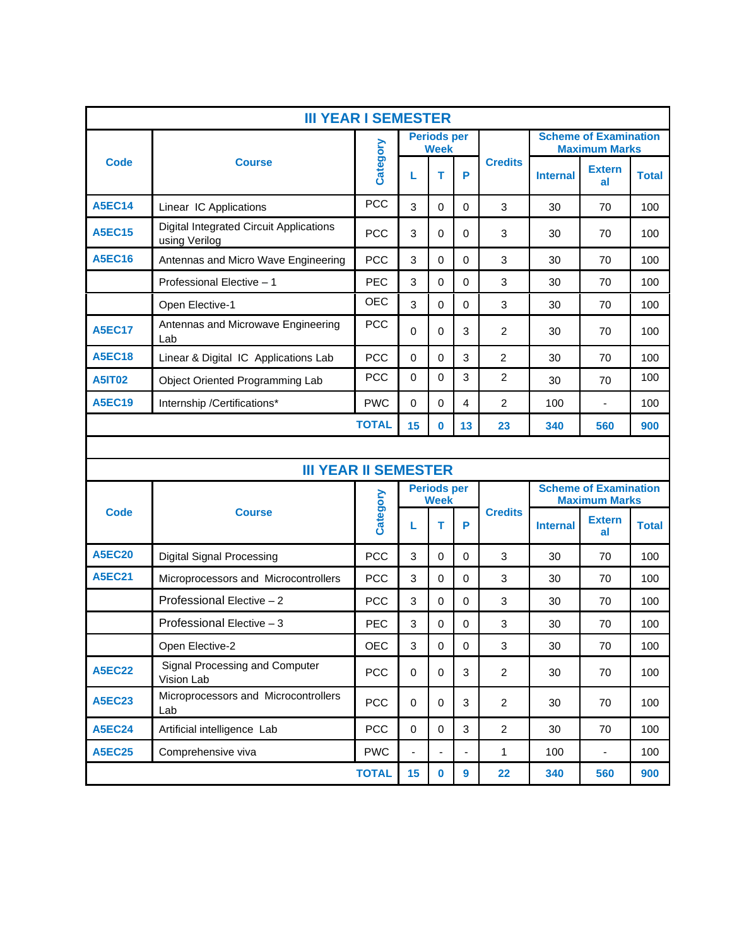|               | <b>III YEAR I SEMESTER</b>                                      |              |             |                                   |             |                  |                 |                                                      |              |
|---------------|-----------------------------------------------------------------|--------------|-------------|-----------------------------------|-------------|------------------|-----------------|------------------------------------------------------|--------------|
|               |                                                                 |              |             | <b>Periods per</b><br>Week        |             |                  |                 | <b>Scheme of Examination</b><br><b>Maximum Marks</b> |              |
| <b>Code</b>   | <b>Course</b>                                                   | Category     | L           | т                                 | P           | <b>Credits</b>   | <b>Internal</b> | <b>Extern</b><br>al                                  | <b>Total</b> |
| <b>A5EC14</b> | Linear IC Applications                                          | <b>PCC</b>   | 3           | $\Omega$                          | 0           | 3                | 30              | 70                                                   | 100          |
| <b>A5EC15</b> | <b>Digital Integrated Circuit Applications</b><br>using Verilog | <b>PCC</b>   | 3           | $\Omega$                          | 0           | 3                | 30              | 70                                                   | 100          |
| <b>A5EC16</b> | Antennas and Micro Wave Engineering                             | <b>PCC</b>   | 3           | $\Omega$                          | 0           | 3                | 30              | 70                                                   | 100          |
|               | Professional Elective - 1                                       | <b>PEC</b>   | 3           | $\mathbf{0}$                      | 0           | 3                | 30              | 70                                                   | 100          |
|               | Open Elective-1                                                 | <b>OEC</b>   | 3           | $\Omega$                          | $\mathbf 0$ | 3                | 30              | 70                                                   | 100          |
| <b>A5EC17</b> | Antennas and Microwave Engineering<br>Lab                       | <b>PCC</b>   | $\Omega$    | $\Omega$                          | 3           | 2                | 30              | 70                                                   | 100          |
| <b>A5EC18</b> | Linear & Digital IC Applications Lab                            | <b>PCC</b>   | $\mathbf 0$ | $\Omega$                          | 3           | $\overline{2}$   | 30              | 70                                                   | 100          |
| <b>A5IT02</b> | <b>Object Oriented Programming Lab</b>                          | <b>PCC</b>   | 0           | $\Omega$                          | 3           | $\overline{2}$   | 30              | 70                                                   | 100          |
| <b>A5EC19</b> | Internship /Certifications*                                     | <b>PWC</b>   | $\Omega$    | $\Omega$                          | 4           | 2                | 100             | ä,                                                   | 100          |
|               |                                                                 | <b>TOTAL</b> | 15          | $\bf{0}$                          | 13          | 23               | 340             | 560                                                  | 900          |
|               |                                                                 |              |             |                                   |             |                  |                 |                                                      |              |
|               | <b>III YEAR II SEMESTER</b>                                     |              |             |                                   |             |                  |                 |                                                      |              |
|               |                                                                 |              |             | <b>Periods per</b><br><b>Week</b> |             |                  |                 | <b>Scheme of Examination</b><br><b>Maximum Marks</b> |              |
| <b>Code</b>   | <b>Course</b>                                                   | Category     | L           | т                                 | P           | <b>Credits</b>   | <b>Internal</b> | <b>Extern</b><br>al                                  | <b>Total</b> |
| <b>A5EC20</b> | <b>Digital Signal Processing</b>                                | <b>PCC</b>   | 3           | $\Omega$                          | $\Omega$    | 3                | 30              | 70                                                   | 100          |
| <b>A5EC21</b> | Microprocessors and Microcontrollers                            | PCC          | 3           | $\Omega$                          | 0           | 3                | 30              | 70                                                   | 100          |
|               | Professional Elective - 2                                       | <b>PCC</b>   | 3           | $\Omega$                          | 0           | 3                | 30              | 70                                                   | 100          |
|               | Professional Elective - 3                                       | <b>PEC</b>   | 3           | 0                                 | 0           | 3                | 30              | 70                                                   | 100          |
|               | Open Elective-2                                                 | OEC          | 3           | $\mathbf 0$                       | 0           | 3                | 30              | 70                                                   | 100          |
| <b>A5EC22</b> | Signal Processing and Computer<br>Vision Lab                    | PCC          | $\pmb{0}$   | $\mathbf 0$                       | 3           | $\boldsymbol{2}$ | 30              | 70                                                   | 100          |
| <b>A5EC23</b> | Microprocessors and Microcontrollers<br>Lab                     | PCC          | $\pmb{0}$   | $\mathbf 0$                       | 3           | $\overline{2}$   | 30              | 70                                                   | 100          |
| <b>A5EC24</b> | Artificial intelligence Lab                                     | PCC          | 0           | $\mathbf 0$                       | 3           | $\overline{2}$   | 30              | 70                                                   | 100          |
| <b>A5EC25</b> | Comprehensive viva                                              | <b>PWC</b>   |             |                                   |             | 1                | 100             |                                                      | 100          |
|               |                                                                 |              |             |                                   |             |                  |                 |                                                      |              |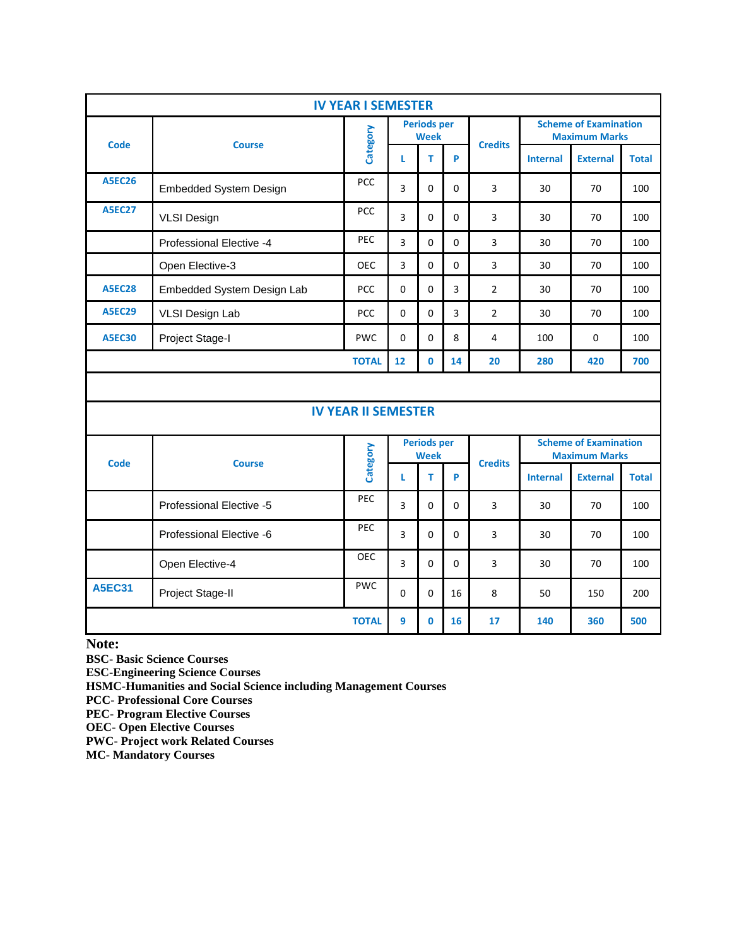| <b>IV YEAR I SEMESTER</b> |                                             |              |                                   |          |          |                |                                                      |                 |              |
|---------------------------|---------------------------------------------|--------------|-----------------------------------|----------|----------|----------------|------------------------------------------------------|-----------------|--------------|
| <b>Code</b>               |                                             |              | <b>Periods per</b><br><b>Week</b> |          |          |                | <b>Scheme of Examination</b><br><b>Maximum Marks</b> |                 |              |
|                           | <b>Course</b>                               | Category     |                                   |          | P        | <b>Credits</b> | <b>Internal</b>                                      | <b>External</b> | <b>Total</b> |
| <b>A5EC26</b>             | <b>PCC</b><br><b>Embedded System Design</b> |              | 3                                 | $\Omega$ | 0        | 3              | 30                                                   | 70              | 100          |
| <b>A5EC27</b>             | <b>VLSI Design</b>                          | PCC          | 3                                 | $\Omega$ | 0        | 3              | 30                                                   | 70              | 100          |
|                           | Professional Elective -4                    | <b>PEC</b>   | 3                                 | $\Omega$ | $\Omega$ | 3              | 30                                                   | 70              | 100          |
|                           | Open Elective-3                             | <b>OEC</b>   | 3                                 | $\Omega$ | $\Omega$ | 3              | 30                                                   | 70              | 100          |
| <b>A5EC28</b>             | Embedded System Design Lab                  | <b>PCC</b>   | $\Omega$                          | $\Omega$ | 3        | $\overline{2}$ | 30                                                   | 70              | 100          |
| <b>A5EC29</b>             | VLSI Design Lab                             | <b>PCC</b>   | $\Omega$                          | $\Omega$ | 3        | $\overline{2}$ | 30                                                   | 70              | 100          |
| <b>A5EC30</b>             | Project Stage-I                             | <b>PWC</b>   | $\Omega$                          | $\Omega$ | 8        | 4              | 100                                                  | $\Omega$        | 100          |
|                           |                                             | <b>TOTAL</b> | 12                                | $\Omega$ | 14       | 20             | 280                                                  | 420             | 700          |

## **IV YEAR II SEMESTER**

| <b>Code</b>   | <b>Course</b>                   | Category     | <b>Periods per</b><br><b>Week</b> |              |          | <b>Credits</b> | <b>Scheme of Examination</b><br><b>Maximum Marks</b> |                 |              |
|---------------|---------------------------------|--------------|-----------------------------------|--------------|----------|----------------|------------------------------------------------------|-----------------|--------------|
|               |                                 |              |                                   | т            | P        |                | <b>Internal</b>                                      | <b>External</b> | <b>Total</b> |
|               | <b>Professional Elective -5</b> | <b>PEC</b>   | 3                                 | 0            | 0        | 3              | 30                                                   | 70              | 100          |
|               | Professional Elective -6        | <b>PEC</b>   | 3                                 | $\Omega$     | $\Omega$ | 3              | 30                                                   | 70              | 100          |
|               | Open Elective-4                 | <b>OEC</b>   | 3                                 | $\mathbf 0$  | 0        | 3              | 30                                                   | 70              | 100          |
| <b>A5EC31</b> | Project Stage-II                | <b>PWC</b>   | 0                                 | $\Omega$     | 16       | 8              | 50                                                   | 150             | 200          |
|               |                                 | <b>TOTAL</b> | 9                                 | $\mathbf{0}$ | 16       | 17             | 140                                                  | 360             | 500          |

**Note:** 

**BSC- Basic Science Courses**

**ESC-Engineering Science Courses**

**HSMC-Humanities and Social Science including Management Courses**

**PCC- Professional Core Courses**

**PEC- Program Elective Courses**

**OEC- Open Elective Courses**

**PWC- Project work Related Courses**

**MC- Mandatory Courses**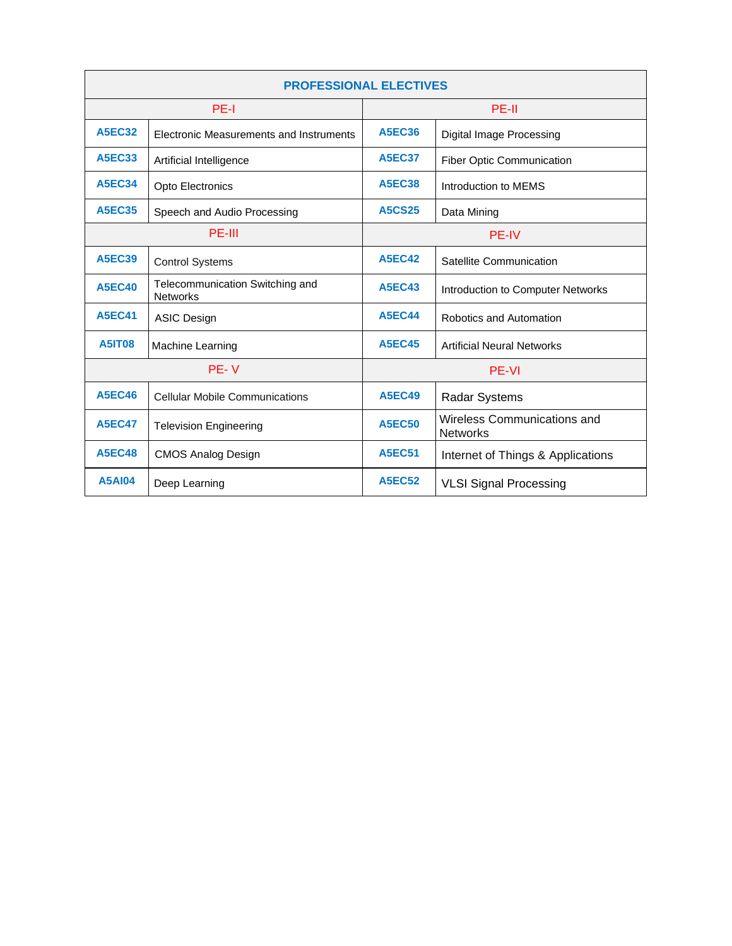| <b>PROFESSIONAL ELECTIVES</b> |                                                    |                              |                                                |  |  |
|-------------------------------|----------------------------------------------------|------------------------------|------------------------------------------------|--|--|
|                               | PE-I                                               | PE-II                        |                                                |  |  |
| <b>A5EC32</b>                 | Electronic Measurements and Instruments            | <b>A5EC36</b>                | Digital Image Processing                       |  |  |
| <b>A5EC33</b>                 | Artificial Intelligence                            | <b>A5EC37</b>                | Fiber Optic Communication                      |  |  |
| <b>A5EC34</b>                 | Opto Electronics                                   | <b>A5EC38</b>                | Introduction to MEMS                           |  |  |
| <b>A5EC35</b>                 | Speech and Audio Processing                        | <b>A5CS25</b><br>Data Mining |                                                |  |  |
|                               | PE-III                                             | <b>PE-IV</b>                 |                                                |  |  |
| <b>A5EC39</b>                 | <b>Control Systems</b>                             | <b>A5EC42</b>                | Satellite Communication                        |  |  |
| <b>A5EC40</b>                 | Telecommunication Switching and<br><b>Networks</b> | <b>A5EC43</b>                | Introduction to Computer Networks              |  |  |
| <b>A5EC41</b>                 | <b>ASIC Design</b>                                 | <b>A5EC44</b>                | Robotics and Automation                        |  |  |
| <b>A5IT08</b>                 | Machine Learning                                   | <b>A5EC45</b>                | <b>Artificial Neural Networks</b>              |  |  |
|                               | PE-V                                               |                              | <b>PE-VI</b>                                   |  |  |
| <b>A5EC46</b>                 | <b>Cellular Mobile Communications</b>              | <b>A5EC49</b>                | <b>Radar Systems</b>                           |  |  |
| <b>A5EC47</b>                 | <b>Television Engineering</b>                      | <b>A5EC50</b>                | Wireless Communications and<br><b>Networks</b> |  |  |
| <b>A5EC48</b>                 | <b>CMOS Analog Design</b>                          | <b>A5EC51</b>                | Internet of Things & Applications              |  |  |
| <b>A5AI04</b>                 | Deep Learning                                      | <b>A5EC52</b>                | <b>VLSI Signal Processing</b>                  |  |  |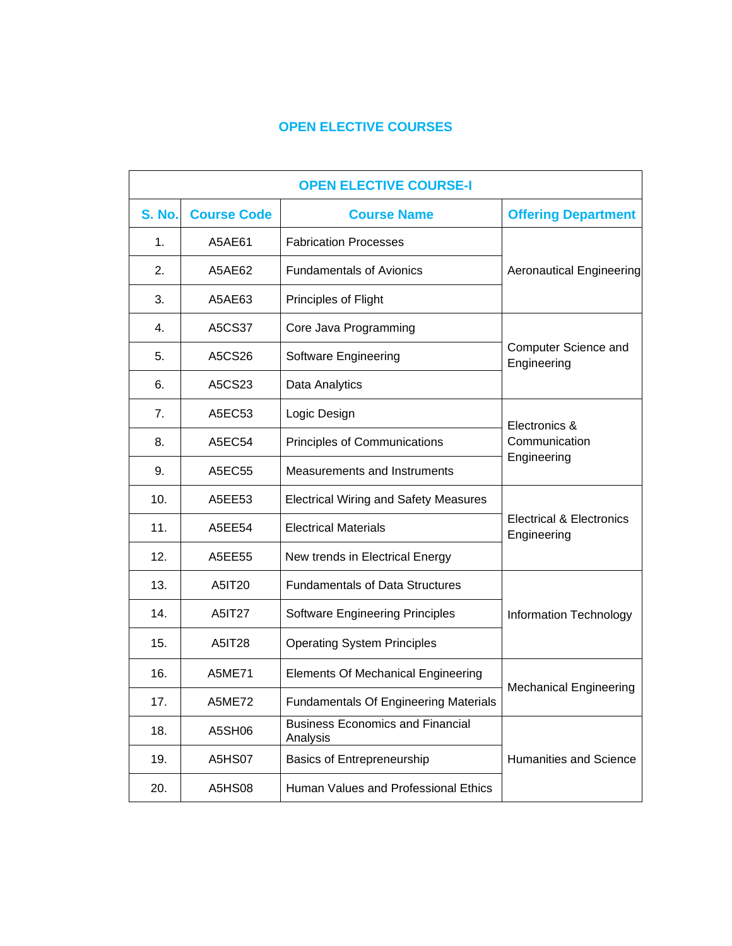## **OPEN ELECTIVE COURSES**

|               | <b>OPEN ELECTIVE COURSE-I</b> |                                                     |                                                    |  |  |  |
|---------------|-------------------------------|-----------------------------------------------------|----------------------------------------------------|--|--|--|
| <b>S. No.</b> | <b>Course Code</b>            | <b>Course Name</b>                                  | <b>Offering Department</b>                         |  |  |  |
| 1.            | A5AE61                        | <b>Fabrication Processes</b>                        |                                                    |  |  |  |
| 2.            | A5AE62                        | <b>Fundamentals of Avionics</b>                     | <b>Aeronautical Engineering</b>                    |  |  |  |
| 3.            | A5AE63                        | Principles of Flight                                |                                                    |  |  |  |
| 4.            | A5CS37                        | Core Java Programming                               |                                                    |  |  |  |
| 5.            | A5CS26                        | Software Engineering                                | Computer Science and<br>Engineering                |  |  |  |
| 6.            | A5CS23                        | Data Analytics                                      |                                                    |  |  |  |
| 7.            | A5EC53                        | Logic Design                                        | Electronics &                                      |  |  |  |
| 8.            | A5EC54                        | Principles of Communications                        | Communication                                      |  |  |  |
| 9.            | A5EC55                        | Measurements and Instruments                        | Engineering                                        |  |  |  |
| 10.           | A5EE53                        | <b>Electrical Wiring and Safety Measures</b>        |                                                    |  |  |  |
| 11.           | A5EE54                        | <b>Electrical Materials</b>                         | <b>Electrical &amp; Electronics</b><br>Engineering |  |  |  |
| 12.           | A5EE55                        | New trends in Electrical Energy                     |                                                    |  |  |  |
| 13.           | A5IT20                        | <b>Fundamentals of Data Structures</b>              |                                                    |  |  |  |
| 14.           | A5IT27                        | <b>Software Engineering Principles</b>              | <b>Information Technology</b>                      |  |  |  |
| 15.           | A5IT28                        | <b>Operating System Principles</b>                  |                                                    |  |  |  |
| 16.           | <b>A5ME71</b>                 | <b>Elements Of Mechanical Engineering</b>           |                                                    |  |  |  |
| 17.           | <b>A5ME72</b>                 | <b>Fundamentals Of Engineering Materials</b>        | <b>Mechanical Engineering</b>                      |  |  |  |
| 18.           | A5SH06                        | <b>Business Economics and Financial</b><br>Analysis |                                                    |  |  |  |
| 19.           | <b>A5HS07</b>                 | <b>Basics of Entrepreneurship</b>                   | <b>Humanities and Science</b>                      |  |  |  |
| 20.           | <b>A5HS08</b>                 | Human Values and Professional Ethics                |                                                    |  |  |  |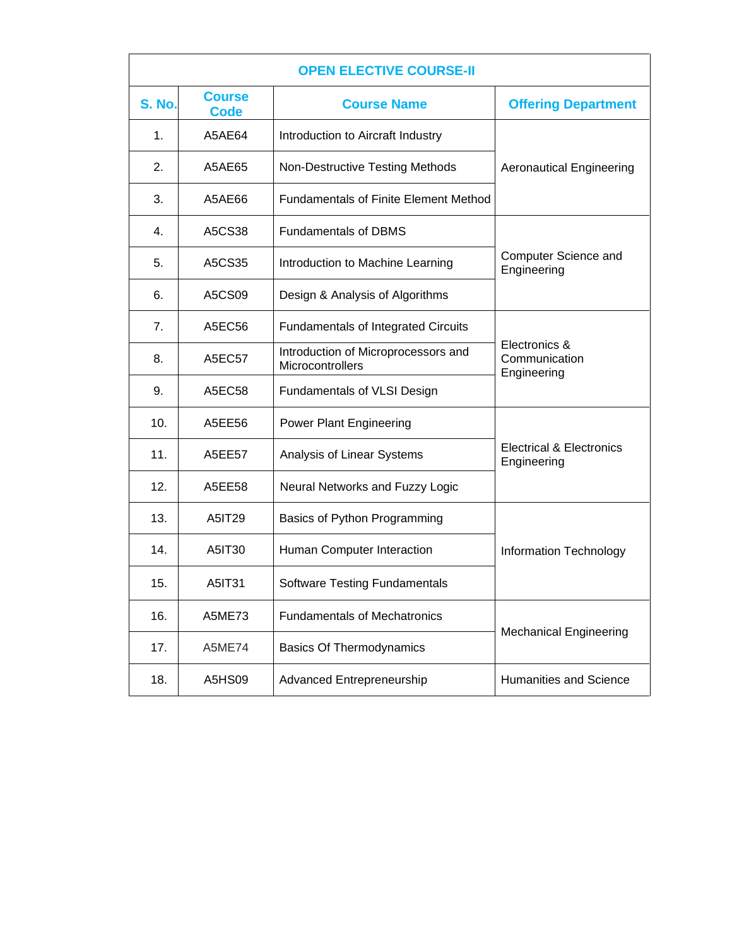|               |                              | <b>OPEN ELECTIVE COURSE-II</b>                          |                                                    |
|---------------|------------------------------|---------------------------------------------------------|----------------------------------------------------|
| <b>S. No.</b> | <b>Course</b><br><b>Code</b> | <b>Course Name</b>                                      | <b>Offering Department</b>                         |
| 1.            | A5AE64                       | Introduction to Aircraft Industry                       |                                                    |
| 2.            | A5AE65                       | <b>Non-Destructive Testing Methods</b>                  | <b>Aeronautical Engineering</b>                    |
| 3.            | A5AE66                       | <b>Fundamentals of Finite Element Method</b>            |                                                    |
| 4.            | A5CS38                       | <b>Fundamentals of DBMS</b>                             |                                                    |
| 5.            | A5CS35                       | Introduction to Machine Learning                        | Computer Science and<br>Engineering                |
| 6.            | A5CS09                       | Design & Analysis of Algorithms                         |                                                    |
| 7.            | A5EC56                       | <b>Fundamentals of Integrated Circuits</b>              |                                                    |
| 8.            | A5EC57                       | Introduction of Microprocessors and<br>Microcontrollers | Electronics &<br>Communication<br>Engineering      |
| 9.            | A5EC58                       | Fundamentals of VLSI Design                             |                                                    |
| 10.           | A5EE56                       | <b>Power Plant Engineering</b>                          |                                                    |
| 11.           | A5EE57                       | Analysis of Linear Systems                              | <b>Electrical &amp; Electronics</b><br>Engineering |
| 12.           | A5EE58                       | Neural Networks and Fuzzy Logic                         |                                                    |
| 13.           | A5IT29                       | Basics of Python Programming                            |                                                    |
| 14.           | A5IT30                       | Human Computer Interaction                              | Information Technology                             |
| 15.           | A5IT31                       | <b>Software Testing Fundamentals</b>                    |                                                    |
| 16.           | <b>A5ME73</b>                | <b>Fundamentals of Mechatronics</b>                     |                                                    |
| 17.           | <b>A5ME74</b>                | <b>Basics Of Thermodynamics</b>                         | <b>Mechanical Engineering</b>                      |
| 18.           | A5HS09                       | Advanced Entrepreneurship                               | <b>Humanities and Science</b>                      |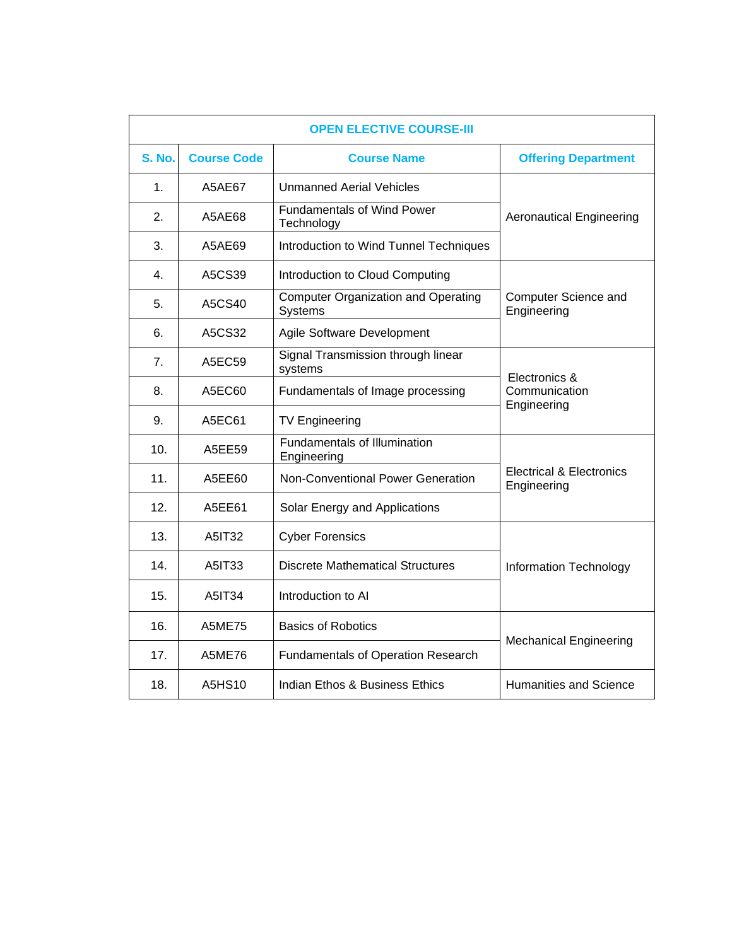|               |                    | <b>OPEN ELECTIVE COURSE-III</b>                              |                                                    |
|---------------|--------------------|--------------------------------------------------------------|----------------------------------------------------|
| <b>S. No.</b> | <b>Course Code</b> | <b>Course Name</b>                                           | <b>Offering Department</b>                         |
| 1.            | A5AE67             | <b>Unmanned Aerial Vehicles</b>                              |                                                    |
| 2.            | A5AE68             | <b>Fundamentals of Wind Power</b><br>Technology              | <b>Aeronautical Engineering</b>                    |
| 3.            | A5AE69             | Introduction to Wind Tunnel Techniques                       |                                                    |
| 4.            | A5CS39             | Introduction to Cloud Computing                              |                                                    |
| 5.            | A5CS40             | <b>Computer Organization and Operating</b><br><b>Systems</b> | Computer Science and<br>Engineering                |
| 6.            | A5CS32             | Agile Software Development                                   |                                                    |
| 7.            | A5EC59             | Signal Transmission through linear<br>systems                | Electronics &                                      |
| 8.            | A5EC60             | Fundamentals of Image processing                             | Communication<br>Engineering                       |
| 9.            | A5EC61             | <b>TV Engineering</b>                                        |                                                    |
| 10.           | A5EE59             | <b>Fundamentals of Illumination</b><br>Engineering           |                                                    |
| 11.           | A5EE60             | Non-Conventional Power Generation                            | <b>Electrical &amp; Electronics</b><br>Engineering |
| 12.           | A5EE61             | Solar Energy and Applications                                |                                                    |
| 13.           | A5IT32             | <b>Cyber Forensics</b>                                       |                                                    |
| 14.           | A5IT33             | <b>Discrete Mathematical Structures</b>                      | <b>Information Technology</b>                      |
| 15.           | A5IT34             | Introduction to Al                                           |                                                    |
| 16.           | A5ME75             | <b>Basics of Robotics</b>                                    | <b>Mechanical Engineering</b>                      |
| 17.           | A5ME76             | <b>Fundamentals of Operation Research</b>                    |                                                    |
| 18.           | A5HS10             | Indian Ethos & Business Ethics                               | Humanities and Science                             |